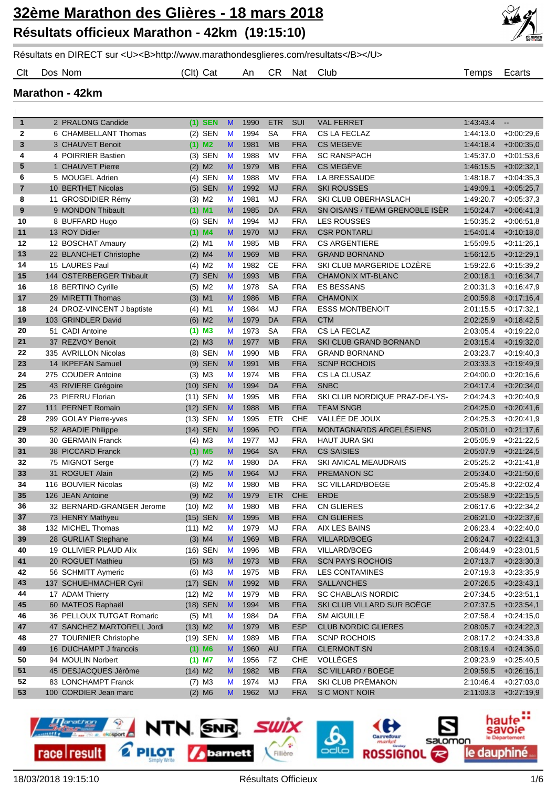

Résultats en DIRECT sur <U><B>http://www.marathondesglieres.com/resultats</B></U>

Clt Dos Nom (Clt) Cat An CR Nat Club Temps Ecarts

**Marathon - 42km**

| $\mathbf{1}$   | 2 PRALONG Candide                                | $(1)$ SEN            | $\mathbf{M}$ | 1990 | <b>ETR</b> | SUI        | <b>VAL FERRET</b>                     | 1.43.43.4 | $\overline{\phantom{a}}$ |
|----------------|--------------------------------------------------|----------------------|--------------|------|------------|------------|---------------------------------------|-----------|--------------------------|
| $\mathbf{2}$   | 6 CHAMBELLANT Thomas                             | $(2)$ SEN            | M            | 1994 | <b>SA</b>  | <b>FRA</b> | CS LA FECLAZ                          | 1:44:13.0 | $+0.00:29.6$             |
| 3              | 3 CHAUVET Benoit                                 | $(1)$ M <sub>2</sub> | M            | 1981 | <b>MB</b>  | <b>FRA</b> | <b>CS MEGEVE</b>                      | 1:44:18.4 | $+0.00:35,0$             |
| 4              | 4 POIRRIER Bastien                               | $(3)$ SEN            | M            | 1988 | <b>MV</b>  | <b>FRA</b> | <b>SC RANSPACH</b>                    | 1.45:37.0 | $+0.01:53,6$             |
| 5              | 1 CHAUVET Pierre                                 | $(2)$ M2             | M            | 1979 | <b>MB</b>  | <b>FRA</b> | <b>CS MEGÈVE</b>                      | 1:46:15.5 | $+0.02:32,1$             |
| 6              | 5 MOUGEL Adrien                                  | $(4)$ SEN            | M            | 1988 | <b>MV</b>  | <b>FRA</b> | LA BRESSAUDE                          | 1:48:18.7 | $+0.04:35,3$             |
| $\overline{7}$ | 10 BERTHET Nicolas                               | $(5)$ SEN            | M            | 1992 | <b>MJ</b>  | <b>FRA</b> | <b>SKI ROUSSES</b>                    | 1:49:09.1 | $+0.05:25,7$             |
| 8              | 11 GROSDIDIER Rémy                               | $(3)$ M2             | M            | 1981 | MJ         | <b>FRA</b> | SKI CLUB OBERHASLACH                  | 1:49:20.7 | $+0.05:37.3$             |
| 9              | 9 MONDON Thibault                                | $(1)$ M1             | M            | 1985 | DA         | <b>FRA</b> | SN OISANS / TEAM GRENOBLE ISER        | 1:50:24.7 | $+0.06:41.3$             |
| 10             | 8 BUFFARD Hugo                                   | (6) SEN              | M            | 1994 | MJ         | <b>FRA</b> | <b>LES ROUSSES</b>                    | 1.50:35.2 | $+0.06:51.8$             |
| 11             | 13 ROY Didier                                    | $(1)$ M4             | M            | 1970 | <b>MJ</b>  | <b>FRA</b> | <b>CSR PONTARLI</b>                   | 1:54:01.4 | $+0.10:18.0$             |
| 12             | 12 BOSCHAT Amaury                                | $(2)$ M1             | M            | 1985 | <b>MB</b>  | <b>FRA</b> | <b>CS ARGENTIERE</b>                  | 1:55:09.5 | $+0:11:26,1$             |
| 13             | 22 BLANCHET Christophe                           | $(2)$ M4             | M            | 1969 | <b>MB</b>  | <b>FRA</b> | <b>GRAND BORNAND</b>                  | 1:56:12.5 | $+0.12:29,1$             |
| 14             | 15 LAURES Paul                                   | $(4)$ M <sub>2</sub> | M            | 1982 | <b>CE</b>  | <b>FRA</b> | SKI CLUB MARGERIDE LOZERE             | 1.59.22.6 | $+0.15.39.2$             |
| 15             | 144 OSTERBERGER Thibault                         | $(7)$ SEN            | M            | 1993 | <b>MB</b>  | <b>FRA</b> | CHAMONIX MT-BLANC                     | 2:00:18.1 | $+0.16.34,7$             |
| 16             | 18 BERTINO Cyrille                               | $(5)$ M2             | M            | 1978 | <b>SA</b>  | <b>FRA</b> | <b>ES BESSANS</b>                     | 2:00:31.3 | $+0.16.47,9$             |
| 17             | 29 MIRETTI Thomas                                | $(3)$ M1             | M            | 1986 | <b>MB</b>  | <b>FRA</b> | <b>CHAMONIX</b>                       | 2:00:59.8 | $+0.17:16,4$             |
| 18             | 24 DROZ-VINCENT J baptiste                       | $(4)$ M1             | M            | 1984 | MJ         | <b>FRA</b> | <b>ESSS MONTBENOIT</b>                | 2:01:15.5 | $+0.17:32.1$             |
| 19             | 103 GRINDLER David                               | $(6)$ M <sub>2</sub> | M            | 1979 | DA         | <b>FRA</b> | <b>CTM</b>                            | 2:02:25.9 | $+0.18:42.5$             |
| 20             | 51 CADI Antoine                                  | (1) M3               | M            | 1973 | <b>SA</b>  | <b>FRA</b> | CS LA FECLAZ                          | 2:03:05.4 | $+0.19:22.0$             |
| 21             | 37 REZVOY Benoit                                 | $(2)$ M3             | M            | 1977 | <b>MB</b>  | <b>FRA</b> | SKI CLUB GRAND BORNAND                | 2:03:15.4 | $+0.19.32,0$             |
| 22             | 335 AVRILLON Nicolas                             | (8) SEN              | M            | 1990 | <b>MB</b>  | <b>FRA</b> | <b>GRAND BORNAND</b>                  | 2:03:23.7 | $+0.19:40,3$             |
| 23             | 14 IKPEFAN Samuel                                | $(9)$ SEN            | M            | 1991 | <b>MB</b>  | <b>FRA</b> | <b>SCNP ROCHOIS</b>                   | 2:03:33.3 | $+0.19.49,9$             |
| 24             | 275 COUDER Antoine                               | $(3)$ M3             | M            | 1974 | <b>MB</b>  | <b>FRA</b> | CS LA CLUSAZ                          | 2:04:00.0 | $+0.20:16,6$             |
| 25             | 43 RIVIERE Grégoire                              | (10) SEN             | M            | 1994 | <b>DA</b>  | <b>FRA</b> | <b>SNBC</b>                           | 2:04:17.4 | $+0.20:34,0$             |
| 26             | 23 PIERRU Florian                                | $(11)$ SEN           | M            | 1995 | <b>MB</b>  | <b>FRA</b> | SKI CLUB NORDIQUE PRAZ-DE-LYS-        | 2:04:24.3 | $+0.20:40,9$             |
| 27             | 111 PERNET Romain                                | (12) SEN             | M            | 1988 | <b>MB</b>  | <b>FRA</b> | <b>TEAM SNGB</b>                      | 2:04:25.0 | $+0.20:41,6$             |
| 28             | 299 GOLAY Pierre-yves                            | (13) SEN             | M            | 1995 | <b>ETR</b> | CHE        | VALLÉE DE JOUX                        | 2:04:25.3 | $+0.20:41,9$             |
| 29             | 52 ABADIE Philippe                               | (14) SEN             | M            | 1996 | PO         | <b>FRA</b> | MONTAGNARDS ARGELÉSIENS               | 2:05:01.0 | $+0.21:17,6$             |
| 30             | 30 GERMAIN Franck                                | $(4)$ M3             | M            | 1977 | MJ         | <b>FRA</b> | <b>HAUT JURA SKI</b>                  | 2:05:05.9 | $+0:21:22,5$             |
| 31             | 38 PICCARD Franck                                | $(1)$ M <sub>5</sub> | M            | 1964 | <b>SA</b>  | <b>FRA</b> | <b>CS SAISIES</b>                     | 2:05:07.9 | $+0.21:24,5$             |
| 32             | 75 MIGNOT Serge                                  | $(7)$ M2             | M            | 1980 | DA         | <b>FRA</b> | <b>SKI AMICAL MEAUDRAIS</b>           | 2:05:25.2 | $+0.21:41,8$             |
| 33             | 31 ROGUET Alain                                  | $(2)$ M <sub>5</sub> | M            | 1964 | <b>MJ</b>  | <b>FRA</b> | <b>PREMANON SC</b>                    | 2:05:34.0 | $+0:21:50.6$             |
| 34             | 116 BOUVIER Nicolas                              | $(8)$ M2             | M            | 1980 | <b>MB</b>  | <b>FRA</b> | <b>SC VILLARD/BOEGE</b>               | 2:05:45.8 | $+0.22:02.4$             |
| 35             | 126 JEAN Antoine                                 | $(9)$ M2             | M            | 1979 | <b>ETR</b> | <b>CHE</b> | <b>ERDE</b>                           | 2:05:58.9 | $+0.22:15.5$             |
| 36             | 32 BERNARD-GRANGER Jerome                        | $(10)$ M2            | M            | 1980 | MB         | <b>FRA</b> | CN GLIERES                            | 2:06:17.6 | $+0.22:34,2$             |
| 37             | 73 HENRY Mathyeu                                 | (15) SEN             | M            | 1995 | <b>MB</b>  | <b>FRA</b> | <b>CN GLIERES</b>                     | 2:06:21.0 | $+0:22:37.6$             |
| 38             | 132 MICHEL Thomas                                | $(11)$ M2            | M            | 1979 | MJ         | <b>FRA</b> | <b>AIX LES BAINS</b>                  | 2:06:23.4 | $+0.22:40.0$             |
| 39             | 28 GURLIAT Stephane                              | $(3)$ M4             | M            | 1969 | <b>MB</b>  | <b>FRA</b> | <b>VILLARD/BOEG</b>                   | 2:06:24.7 | $+0:22:41,3$             |
| 40             | 19 OLLIVIER PLAUD Alix                           | (16) SEN             | M            | 1996 | MB         | <b>FRA</b> | VILLARD/BOEG                          | 2:06:44.9 | $+0.23:01,5$             |
| 41             | 20 ROGUET Mathieu                                | $(5)$ M3             | M            | 1973 | <b>MB</b>  | <b>FRA</b> | <b>SCN PAYS ROCHOIS</b>               | 2:07:13.7 | $+0.23:30,3$             |
| 42             | 56 SCHMITT Aymeric                               | $(6)$ M3             | M            | 1975 | MB         | <b>FRA</b> | <b>LES CONTAMINES</b>                 | 2:07:19.3 | $+0.23.35,9$             |
| 43             | 137 SCHUEHMACHER Cyril                           | (17) SEN             | M            | 1992 | MB         | <b>FRA</b> | <b>SALLANCHES</b>                     | 2:07:26.5 | $+0:23:43,1$             |
| 44             | 17 ADAM Thierry                                  | $(12)$ M2            | M            | 1979 | MB         | <b>FRA</b> | <b>SC CHABLAIS NORDIC</b>             | 2:07:34.5 | $+0.23.51,1$             |
| 45             | 60 MATEOS Raphaël                                | (18) SEN             | M            | 1994 | MB         | <b>FRA</b> | SKI CLUB VILLARD SUR BOËGE            | 2:07:37.5 | $+0:23:54,1$             |
| 46             | 36 PELLOUX TUTGAT Romaric                        | $(5)$ M1             | M            | 1984 | DA         | <b>FRA</b> | <b>SM AIGUILLE</b>                    | 2:07:58.4 | $+0.24:15,0$             |
| 47             | 47 SANCHEZ MARTORELL Jordi                       | $(13)$ M2            |              | 1979 | MB         | <b>ESP</b> | <b>CLUB NORDIC GLIERES</b>            |           |                          |
|                |                                                  |                      | M<br>M       | 1989 | MB         | <b>FRA</b> | <b>SCNP ROCHOIS</b>                   | 2:08:05.7 | $+0:24:22,3$             |
| 48<br>49       | 27 TOURNIER Christophe<br>16 DUCHAMPT J francois | (19) SEN             | M            |      | <b>AU</b>  | <b>FRA</b> | <b>CLERMONT SN</b>                    | 2:08:17.2 | $+0.24:33,8$             |
|                |                                                  | $(1)$ M6             |              | 1960 |            |            |                                       | 2:08:19.4 | $+0.24:36,0$             |
| 50             | 94 MOULIN Norbert                                | $(1)$ M7             | M            | 1956 | <b>FZ</b>  | <b>CHE</b> | VOLLÈGES<br><b>SC VILLARD / BOEGE</b> | 2:09:23.9 | $+0.25:40,5$             |
| 51             | 45 DESJACQUES Jérôme                             | $(14)$ M2            | M            | 1982 | MB         | <b>FRA</b> | SKI CLUB PRÉMANON                     | 2:09:59.5 | $+0.26:16,1$             |
| 52             | 83 LONCHAMPT Franck                              | $(7)$ M3             | M            | 1974 | MJ         | <b>FRA</b> |                                       | 2:10:46.4 | $+0.27:03,0$             |
| 53             | 100 CORDIER Jean marc                            | $(2)$ M6             | M            | 1962 | <b>MJ</b>  | <b>FRA</b> | S C MONT NOIR                         | 2:11:03.3 | $+0.27:19,9$             |

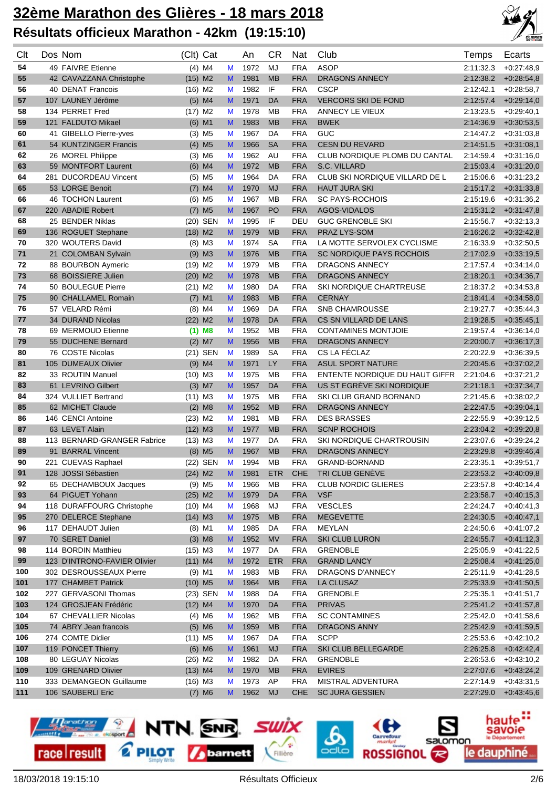

| Clt      | Dos Nom                                    | (Clt) Cat              |        | An           | СR               | Nat                      | Club                                     | Temps                  | Ecarts                       |
|----------|--------------------------------------------|------------------------|--------|--------------|------------------|--------------------------|------------------------------------------|------------------------|------------------------------|
| 54       | 49 FAIVRE Etienne                          | $(4)$ M4               | M      | 1972         | MJ               | <b>FRA</b>               | <b>ASOP</b>                              | 2:11:32.3              | $+0.27:48.9$                 |
| 55       | 42 CAVAZZANA Christophe                    | $(15)$ M2              | M      | 1981         | <b>MB</b>        | <b>FRA</b>               | <b>DRAGONS ANNECY</b>                    | 2:12:38.2              | $+0.28:54,8$                 |
| 56       | 40 DENAT Francois                          | $(16)$ M2              | M      | 1982         | IF               | <b>FRA</b>               | <b>CSCP</b>                              | 2:12:42.1              | $+0.28:58,7$                 |
| 57       | 107 LAUNEY Jérôme                          | $(5)$ M4               | M      | 1971         | DA               | <b>FRA</b>               | <b>VERCORS SKI DE FOND</b>               | 2:12:57.4              | $+0.29:14,0$                 |
| 58       | 134 PERRET Fred                            | $(17)$ M2              | M      | 1978         | <b>MB</b>        | <b>FRA</b>               | ANNECY LE VIEUX                          | 2:13:23.5              | $+0.29:40,1$                 |
| 59       | 121 FALDUTO Mikael                         | $(6)$ M1               | M      | 1983         | <b>MB</b>        | <b>FRA</b>               | <b>BWEK</b>                              | 2:14:36.9              | $+0.30.53,5$                 |
| 60       | 41 GIBELLO Pierre-yves                     | $(3)$ M <sub>5</sub>   | M      | 1967         | DA               | <b>FRA</b>               | GUC                                      | 2:14:47.2              | $+0.31:03,8$                 |
| 61       | 54 KUNTZINGER Francis                      | $(4)$ M <sub>5</sub>   | M      | 1966         | <b>SA</b>        | <b>FRA</b>               | <b>CESN DU REVARD</b>                    | 2:14:51.5              | $+0.31.08,1$                 |
| 62       | 26 MOREL Philippe                          | $(3)$ M6               | M      | 1962         | AU               | <b>FRA</b>               | CLUB NORDIQUE PLOMB DU CANTAL            | 2:14:59.4              | $+0.31:16,0$                 |
| 63       | 59 MONTFORT Laurent                        | $(6)$ M4               | M      | 1972         | <b>MB</b>        | <b>FRA</b>               | S.C. VILLARD                             | 2:15:03.4              | $+0.31:20,0$                 |
| 64       | 281 DUCORDEAU Vincent                      | $(5)$ M <sub>5</sub>   | M      | 1964         | DA               | <b>FRA</b>               | CLUB SKI NORDIQUE VILLARD DE L           | 2:15:06.6              | $+0.31:23,2$                 |
| 65       | 53 LORGE Benoit                            | $(7)$ M4               | M      | 1970         | <b>MJ</b>        | <b>FRA</b>               | <b>HAUT JURA SKI</b>                     | 2:15:17.2              | $+0.31:33,8$                 |
| 66       | 46 TOCHON Laurent                          | $(6)$ M <sub>5</sub>   | M      | 1967         | <b>MB</b>        | <b>FRA</b>               | <b>SC PAYS-ROCHOIS</b>                   | 2:15:19.6              | $+0.31.36,2$                 |
| 67       | 220 ABADIE Robert                          | M <sub>5</sub><br>(7)  | M      | 1967         | P <sub>O</sub>   | <b>FRA</b>               | <b>AGOS-VIDALOS</b>                      | 2:15:31.2              | $+0.31:47,8$                 |
| 68       | 25 BENDER Niklas                           | (20) SEN               | M      | 1995         | IF               | DEU                      | <b>GUC GRENOBLE SKI</b>                  | 2:15:56.7              | $+0.32:13,3$                 |
| 69       | 136 ROGUET Stephane                        | $(18)$ M2              | M      | 1979         | <b>MB</b>        | <b>FRA</b>               | PRAZ LYS-SOM                             | 2:16:26.2              | $+0.32:42,8$                 |
| 70       | 320 WOUTERS David                          | $(8)$ M3               | M      | 1974         | <b>SA</b>        | <b>FRA</b>               | LA MOTTE SERVOLEX CYCLISME               | 2:16:33.9              | $+0.32:50,5$                 |
| 71       | 21 COLOMBAN Sylvain                        | $(9)$ M3               | M      | 1976         | <b>MB</b>        | <b>FRA</b>               | SC NORDIQUE PAYS ROCHOIS                 | 2:17:02.9              | $+0.33:19.5$                 |
| 72       | 88 BOURBON Aymeric                         | $(19)$ M2              | M      | 1979         | <b>MB</b>        | <b>FRA</b>               | <b>DRAGONS ANNECY</b>                    | 2:17:57.4              | $+0.34:14,0$                 |
| 73       | 68 BOISSIERE Julien                        | $(20)$ M2              | M      | 1978         | <b>MB</b>        | <b>FRA</b>               | <b>DRAGONS ANNECY</b>                    | 2:18:20.1              | $+0.34.36,7$                 |
| 74       | 50 BOULEGUE Pierre                         | $(21)$ M2              | M      | 1980         | DA               | <b>FRA</b>               | <b>SKI NORDIQUE CHARTREUSE</b>           | 2:18:37.2              | $+0.34.53.8$                 |
| 75       | 90 CHALLAMEL Romain                        | $(7)$ M1               | M      | 1983         | <b>MB</b>        | <b>FRA</b>               | <b>CERNAY</b>                            | 2:18:41.4              | $+0.34.58,0$                 |
| 76       | 57 VELARD Rémi                             | $(8)$ M4               | M      | 1969         | DA               | <b>FRA</b>               | <b>SNB CHAMROUSSE</b>                    | 2:19:27.7              | $+0.35:44,3$                 |
| 77       | 34 DURAND Nicolas                          | $(22)$ M2              | M      | 1978         | DA               | <b>FRA</b>               | CS SN VILLARD DE LANS                    | 2:19:28.5              | $+0.35:45,1$                 |
| 78       | 69 MERMOUD Etienne                         | $(1)$ M8               | M      | 1952         | <b>MB</b>        | <b>FRA</b>               | <b>CONTAMINES MONTJOIE</b>               | 2:19:57.4              | $+0.36:14.0$                 |
| 79       | 55 DUCHENE Bernard                         | $(2)$ M7               | M      | 1956         | <b>MB</b>        | <b>FRA</b>               | <b>DRAGONS ANNECY</b>                    | 2:20:00.7              | $+0.36:17,3$                 |
| 80       | 76 COSTE Nicolas                           | (21) SEN               | M      | 1989         | <b>SA</b>        | <b>FRA</b>               | CS LA FÉCLAZ                             | 2:20:22.9              | $+0.36:39.5$                 |
| 81       | 105 DUMEAUX Olivier                        | $(9)$ M4               | M      | 1971         | LY               | <b>FRA</b>               | <b>ASUL SPORT NATURE</b>                 | 2:20:45.6              | $+0.37:02,2$                 |
| 82       | 33 ROUTIN Manuel                           | $(10)$ M3              | M      | 1975         | <b>MB</b>        | <b>FRA</b>               | ENTENTE NORDIQUE DU HAUT GIFFR           | 2:21:04.6              | $+0.37:21,2$                 |
| 83       | 61 LEVRINO Gilbert                         | $(3)$ M7               | M      | 1957         | <b>DA</b>        | <b>FRA</b>               | US ST EGRÈVE SKI NORDIQUE                | 2:21:18.1              | $+0.37:34,7$                 |
| 84       | 324 VULLIET Bertrand                       | $(11)$ M3              | M      | 1975         | MB               | <b>FRA</b>               | SKI CLUB GRAND BORNAND                   | 2.21:45.6              | $+0.38:02,2$                 |
| 85       | 62 MICHET Claude                           | $(2)$ M <sub>8</sub>   | M      | 1952         | <b>MB</b>        | <b>FRA</b>               | <b>DRAGONS ANNECY</b>                    | 2:22:47.5              | $+0.39.04,1$                 |
| 86       | 146 CENCI Antoine                          | $(23)$ M <sub>2</sub>  | M      | 1981         | MB               | <b>FRA</b>               | <b>DES BRASSES</b>                       | 2:22:55.9              | $+0.39:12.5$                 |
| 87       | 63 LEVET Alain                             | $(12)$ M3              | M      | 1977         | <b>MB</b>        | <b>FRA</b>               | <b>SCNP ROCHOIS</b>                      | 2:23:04.2              | $+0.39:20,8$                 |
| 88       | 113 BERNARD-GRANGER Fabrice                | $(13)$ M3              | M      | 1977         | DA               | <b>FRA</b>               | <b>SKI NORDIQUE CHARTROUSIN</b>          | 2:23:07.6              | $+0.39:24,2$                 |
| 89       | 91 BARRAL Vincent                          | M <sub>5</sub><br>(8)  | M      | 1967         | <b>MB</b>        | <b>FRA</b>               | <b>DRAGONS ANNECY</b>                    | 2:23:29.8              | $+0.39.46,4$                 |
| 90       | 221 CUEVAS Raphael                         | (22) SEN               | M      | 1994         | <b>MB</b>        | <b>FRA</b>               | GRAND-BORNAND                            | 2:23:35.1              | $+0.39:51,7$                 |
| 91       | 128 JOSSI Sébastien                        | $(24)$ M2              | M      | 1981         | <b>ETR</b>       | <b>CHE</b>               | TRI CLUB GENÈVE                          | 2:23:53.2              | $+0.40:09,8$                 |
| 92       | 65 DECHAMBOUX Jacques                      | $(9)$ M <sub>5</sub>   | M      | 1966         | MB               | <b>FRA</b>               | <b>CLUB NORDIC GLIERES</b>               | 2:23:57.8              | $+0.40:14,4$                 |
| 93       | 64 PIGUET Yohann                           | $(25)$ M2              | M      | 1979         | DA               | <b>FRA</b>               | <b>VSF</b>                               | 2:23:58.7              | $+0.40:15,3$                 |
| 94       | 118 DURAFFOURG Christophe                  | $(10)$ M4              | M      | 1968         | MJ               | <b>FRA</b>               | <b>VESCLES</b>                           | 2:24:24.7              | $+0.40:41,3$                 |
| 95       | 270 DELERCE Stephane<br>117 DEHAUDT Julien | $(14)$ M3              | M      | 1975         | <b>MB</b>        | <b>FRA</b>               | <b>MEGEVETTE</b><br><b>MEYLAN</b>        | 2:24:30.5              | $+0.40:47,1$<br>$+0.41:07,2$ |
| 96       |                                            | $(8)$ M1               | M      | 1985         | DA               | <b>FRA</b>               |                                          | 2:24:50.6<br>2:24:55.7 |                              |
| 97       | 70 SERET Daniel<br>114 BORDIN Matthieu     | $(3)$ M <sub>8</sub>   | M      | 1952         | <b>MV</b>        | <b>FRA</b>               | <b>SKI CLUB LURON</b><br><b>GRENOBLE</b> |                        | $+0.41:12,3$                 |
| 98<br>99 | 123 D'INTRONO-FAVIER Olivier               | $(15)$ M3<br>$(11)$ M4 | M      | 1977<br>1972 | DA<br><b>ETR</b> | <b>FRA</b><br><b>FRA</b> | <b>GRAND LANCY</b>                       | 2:25:05.9<br>2:25:08.4 | $+0.41:22,5$<br>$+0.41:25,0$ |
| 100      | 302 DESROUSSEAUX Pierre                    | $(9)$ M1               | M<br>M | 1983         | МB               | <b>FRA</b>               | DRAGONS D'ANNECY                         | 2:25:11.9              | $+0.41:28,5$                 |
| 101      | 177 CHAMBET Patrick                        | $(10)$ M5              | M      | 1964         | <b>MB</b>        | <b>FRA</b>               | <b>LA CLUSAZ</b>                         | 2:25:33.9              | $+0.41:50,5$                 |
| 102      | 227 GERVASONI Thomas                       | (23) SEN               | M      | 1988         | DA               | <b>FRA</b>               | <b>GRENOBLE</b>                          | 2:25:35.1              | $+0.41:51,7$                 |
| 103      | 124 GROSJEAN Frédéric                      | $(12)$ M4              | M      | 1970         | DA               | <b>FRA</b>               | <b>PRIVAS</b>                            | 2:25:41.2              | $+0.41:57,8$                 |
| 104      | 67 CHEVALLIER Nicolas                      | $(4)$ M6               | M      | 1962         | MB               | <b>FRA</b>               | <b>SC CONTAMINES</b>                     | 2:25:42.0              | $+0.41.58,6$                 |
| 105      | 74 ABRY Jean francois                      | $(5)$ M6               | M      | 1959         | <b>MB</b>        | <b>FRA</b>               | DRAGONS ANNY                             | 2:25:42.9              | $+0.41:59,5$                 |
| 106      | 274 COMTE Didier                           | $(11)$ M <sub>5</sub>  | M      | 1967         | DA               | <b>FRA</b>               | <b>SCPP</b>                              | 2:25:53.6              | $+0.42:10,2$                 |
| 107      | 119 PONCET Thierry                         | $(6)$ M6               | M      | 1961         | <b>MJ</b>        | <b>FRA</b>               | SKI CLUB BELLEGARDE                      | 2:26:25.8              | $+0.42:42,4$                 |
| 108      | 80 LEGUAY Nicolas                          | $(26)$ M2              | M      | 1982         | DA               | <b>FRA</b>               | <b>GRENOBLE</b>                          | 2:26:53.6              | $+0.43:10,2$                 |
| 109      | 109 GRENARD Olivier                        | $(13)$ M4              | M      | 1970         | <b>MB</b>        | <b>FRA</b>               | <b>EVIRES</b>                            | 2:27:07.6              | $+0.43:24,2$                 |
| 110      | 333 DEMANGEON Guillaume                    | $(16)$ M3              | M      | 1973         | AP               | <b>FRA</b>               | MISTRAL ADVENTURA                        | 2:27:14.9              | $+0.43.31,5$                 |
| 111      | 106 SAUBERLI Eric                          | $(7)$ M6               | M      | 1962         | <b>MJ</b>        | <b>CHE</b>               | <b>SC JURA GESSIEN</b>                   | 2:27:29.0              | $+0.43:45,6$                 |
|          |                                            |                        |        |              |                  |                          |                                          |                        |                              |

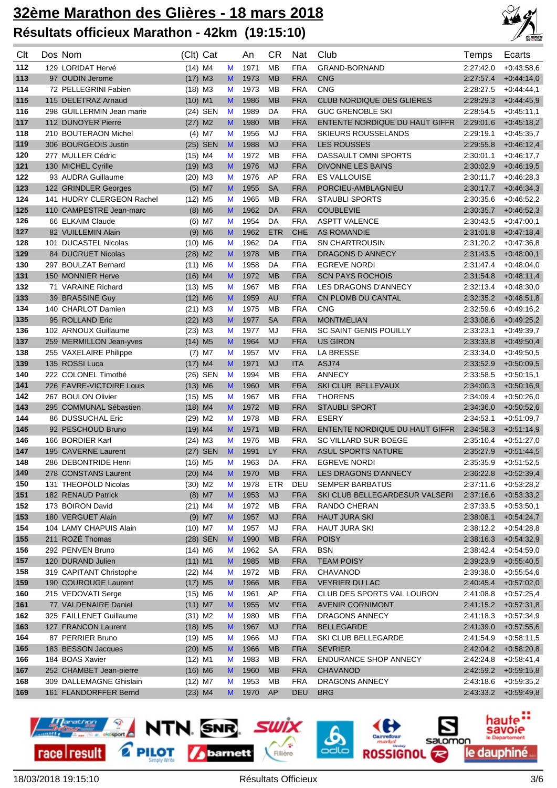

| Clt        | Dos Nom                                    | (Clt) Cat             |        | An           | <b>CR</b>       | Nat                      | Club                                           | Temps                  | Ecarts                       |
|------------|--------------------------------------------|-----------------------|--------|--------------|-----------------|--------------------------|------------------------------------------------|------------------------|------------------------------|
| 112        | 129 LORIDAT Hervé                          | $(14)$ M4             | M      | 1971         | <b>MB</b>       | <b>FRA</b>               | GRAND-BORNAND                                  | 2:27:42.0              | $+0.43.58.6$                 |
| 113        | 97 OUDIN Jerome                            | $(17)$ M3             | M      | 1973         | <b>MB</b>       | <b>FRA</b>               | <b>CNG</b>                                     | 2:27:57.4              | $+0.44:14.0$                 |
| 114        | 72 PELLEGRINI Fabien                       | $(18)$ M3             | M      | 1973         | <b>MB</b>       | <b>FRA</b>               | <b>CNG</b>                                     | 2:28:27.5              | $+0.44.44,1$                 |
| 115        | 115 DELETRAZ Arnaud                        | $(10)$ M1             | M      | 1986         | <b>MB</b>       | <b>FRA</b>               | <b>CLUB NORDIQUE DES GLIÈRES</b>               | 2:28:29.3              | $+0.44.45,9$                 |
| 116        | 298 GUILLERMIN Jean marie                  | (24) SEN              | M      | 1989         | DA              | <b>FRA</b>               | <b>GUC GRENOBLE SKI</b>                        | 2:28:54.5              | $+0.45:11,1$                 |
| 117        | 112 DUNOYER Pierre                         | $(27)$ M2             | M      | 1980         | <b>MB</b>       | <b>FRA</b>               | ENTENTE NORDIQUE DU HAUT GIFFR                 | 2:29:01.6              | $+0.45:18.2$                 |
| 118        | 210 BOUTERAON Michel                       | $(4)$ M7              | M      | 1956         | MJ              | <b>FRA</b>               | SKIEURS ROUSSELANDS                            | 2:29:19.1              | $+0.45:35,7$                 |
| 119        | 306 BOURGEOIS Justin                       | (25) SEN              | M      | 1988         | <b>MJ</b>       | <b>FRA</b>               | <b>LES ROUSSES</b>                             | 2:29:55.8              | $+0.46:12,4$                 |
| 120        | 277 MULLER Cédric                          | $(15)$ M4             | M      | 1972         | <b>MB</b>       | <b>FRA</b>               | DASSAULT OMNI SPORTS                           | 2:30:01.1              | $+0.46:17,7$                 |
| 121        | 130 MICHEL Cyrille                         | $(19)$ M3             | M      | 1976         | <b>MJ</b>       | <b>FRA</b>               | <b>DIVONNE LES BAINS</b>                       | 2:30:02.9              | $+0.46:19,5$                 |
| 122        | 93 AUDRA Guillaume                         | $(20)$ M3             | M      | 1976         | AP              | <b>FRA</b>               | <b>ES VALLOUISE</b>                            | 2:30:11.7              | $+0.46:28,3$                 |
| 123        | 122 GRINDLER Georges                       | $(5)$ M7              | M      | 1955         | <b>SA</b>       | <b>FRA</b>               | PORCIEU-AMBLAGNIEU                             | 2:30:17.7              | $+0.46:34,3$                 |
| 124        | 141 HUDRY CLERGEON Rachel                  | $(12)$ M <sub>5</sub> | M      | 1965         | МB              | <b>FRA</b>               | <b>STAUBLI SPORTS</b>                          | 2:30:35.6              | $+0.46:52,2$                 |
| 125        | 110 CAMPESTRE Jean-marc                    | $(8)$ M6              | M      | 1962         | <b>DA</b>       | <b>FRA</b>               | <b>COUBLEVIE</b>                               | 2:30:35.7              | $+0.46.52,3$                 |
| 126        | 66 ELKAIM Claude                           | $(6)$ M7              | M      | 1954         | DA              | <b>FRA</b>               | <b>ASPTT VALENCE</b>                           | 2:30:43.5              | $+0.47:00,1$                 |
| 127        | 82 VUILLEMIN Alain                         | $(9)$ M6              | M      | 1962         | <b>ETR</b>      | <b>CHE</b>               | <b>AS ROMANDIE</b>                             | 2:31:01.8              | $+0.47:18,4$                 |
| 128        | 101 DUCASTEL Nicolas                       | $(10)$ M6             | M      | 1962         | DA              | <b>FRA</b>               | <b>SN CHARTROUSIN</b>                          | 2:31:20.2              | $+0.47:36,8$                 |
| 129        | 84 DUCRUET Nicolas                         | $(28)$ M2             | M      | 1978         | <b>MB</b>       | <b>FRA</b>               | DRAGONS D ANNECY                               | 2:31:43.5              | $+0.48:00,1$                 |
| 130        | 297 BOULZAT Bernard                        | $(11)$ M6             | M      | 1958         | DA              | <b>FRA</b>               | <b>EGREVE NORDI</b>                            | 2:31:47.4              | $+0.48:04,0$                 |
| 131        | 150 MONNIER Herve                          | $(16)$ M4             | M      | 1972         | <b>MB</b>       | <b>FRA</b>               | <b>SCN PAYS ROCHOIS</b>                        | 2:31:54.8              | $+0.48:11,4$                 |
| 132        | 71 VARAINE Richard                         | $(13)$ M <sub>5</sub> | M      | 1967         | <b>MB</b>       | <b>FRA</b>               | LES DRAGONS D'ANNECY                           | 2:32:13.4              | $+0.48:30,0$                 |
| 133        | 39 BRASSINE Guy                            | $(12)$ M6             | M      | 1959         | <b>AU</b>       | <b>FRA</b>               | CN PLOMB DU CANTAL                             | 2:32:35.2              | $+0.48:51.8$                 |
| 134        | 140 CHARLOT Damien                         | $(21)$ M3             | M      | 1975         | МB              | <b>FRA</b>               | <b>CNG</b>                                     | 2:32:59.6              | $+0.49:16,2$                 |
| 135        | 95 ROLLAND Eric                            | $(22)$ M3             | M      | 1977         | <b>SA</b>       | <b>FRA</b>               | <b>MONTMELIAN</b>                              | 2:33:08.6              | $+0.49:25,2$                 |
| 136        | 102 ARNOUX Guillaume                       | $(23)$ M3             | M      | 1977         | MJ              | <b>FRA</b>               | <b>SC SAINT GENIS POUILLY</b>                  | 2:33:23.1              | $+0.49.39,7$                 |
| 137        | 259 MERMILLON Jean-yves                    | $(14)$ M <sub>5</sub> | M      | 1964         | <b>MJ</b>       | <b>FRA</b>               | <b>US GIRON</b>                                | 2:33:33.8              | $+0.49.50,4$                 |
| 138        | 255 VAXELAIRE Philippe                     | $(7)$ M7              | M      | 1957         | <b>MV</b>       | <b>FRA</b>               | LA BRESSE                                      | 2:33:34.0              | $+0.49.50.5$                 |
| 139        | 135 ROSSI Luca                             | $(17)$ M4             | M      | 1971         | <b>MJ</b>       | <b>ITA</b>               | ASJ74                                          | 2:33:52.9              | $+0.50:09,5$                 |
| 140        | 222 COLONEL Timothé                        | (26) SEN              | M      | 1994         | МB              | <b>FRA</b>               | <b>ANNECY</b>                                  | 2:33:58.5              | $+0.50:15,1$                 |
| 141        | 226 FAVRE-VICTOIRE Louis                   | $(13)$ M6             | M      | 1960         | <b>MB</b>       | <b>FRA</b>               | SKI CLUB BELLEVAUX                             | 2:34:00.3              | $+0.50:16,9$                 |
| 142        | 267 BOULON Olivier                         | $(15)$ M5             | M      | 1967         | <b>MB</b>       | <b>FRA</b>               | <b>THORENS</b>                                 | 2:34:09.4              | $+0.50:26,0$                 |
| 143        | 295 COMMUNAL Sébastien                     | $(18)$ M4             | M      | 1972         | <b>MB</b>       | <b>FRA</b>               | <b>STAUBLI SPORT</b>                           | 2:34:36.0              | $+0.50.52,6$                 |
| 144        | 86 DUSSUCHAL Eric                          | $(29)$ M2             | M      | 1978         | MB              | <b>FRA</b>               | <b>ESERY</b>                                   | 2:34:53.1              | $+0.51:09,7$                 |
| 145        | 92 PESCHOUD Bruno                          | $(19)$ M4             | M      | 1971         | <b>MB</b>       | <b>FRA</b>               | ENTENTE NORDIQUE DU HAUT GIFFR                 | 2:34:58.3              | $+0.51:14,9$                 |
| 146        | 166 BORDIER Karl                           | $(24)$ M3             | М      | 1976         | <b>MB</b>       | <b>FRA</b>               | SC VILLARD SUR BOEGE                           | 2:35:10.4              | $+0.51:27,0$                 |
| 147        | 195 CAVERNE Laurent                        | (27) SEN              | M      | 1991         | <b>LY</b>       | <b>FRA</b>               | <b>ASUL SPORTS NATURE</b>                      | 2:35:27.9              | $+0.51:44,5$                 |
| 148        | 286 DEBONTRIDE Henri                       | $(16)$ M <sub>5</sub> | М      | 1963         | DA              | <b>FRA</b>               | <b>EGREVE NORDI</b>                            | 2:35:35.9              | $+0.51:52.5$                 |
| 149        | 278 CONSTANS Laurent                       | $(20)$ M4             | M      | 1970         | <b>MB</b>       | <b>FRA</b>               | LES DRAGONS D'ANNECY                           | 2:36:22.8              | $+0.52:39,4$                 |
| 150        | 131 THEOPOLD Nicolas<br>182 RENAUD Patrick | $(30)$ M <sub>2</sub> | M      | 1978         | <b>ETR</b>      | DEU                      | <b>SEMPER BARBATUS</b>                         | 2:37:11.6              | $+0.53:28,2$                 |
| 151<br>152 | 173 BOIRON David                           | $(8)$ M7              | M      | 1953<br>1972 | <b>MJ</b><br>MB | <b>FRA</b><br><b>FRA</b> | SKI CLUB BELLEGARDESUR VALSERI<br>RANDO CHERAN | 2:37:16.6              | $+0.53.33,2$                 |
| 153        | 180 VERGUET Alain                          | $(21)$ M4<br>$(9)$ M7 | M<br>M | 1957         | MJ              | <b>FRA</b>               | <b>HAUT JURA SKI</b>                           | 2:37:33.5<br>2:38:08.1 | $+0.53:50,1$<br>$+0.54:24,7$ |
| 154        | 104 LAMY CHAPUIS Alain                     | $(10)$ M7             | M      | 1957         | MJ              | <b>FRA</b>               | <b>HAUT JURA SKI</b>                           | 2:38:12.2              | $+0.54:28,8$                 |
| 155        | 211 ROZÉ Thomas                            | (28) SEN              | M      | 1990         | <b>MB</b>       | <b>FRA</b>               | <b>POISY</b>                                   | 2:38:16.3              | $+0.54.32,9$                 |
| 156        | 292 PENVEN Bruno                           | $(14)$ M6             | M      | 1962         | SA              | <b>FRA</b>               | <b>BSN</b>                                     | 2:38:42.4              | $+0.54.59.0$                 |
| 157        | 120 DURAND Julien                          | $(11)$ M1             | M      | 1985         | <b>MB</b>       | <b>FRA</b>               | <b>TEAM POISY</b>                              | 2:39:23.9              | $+0.55:40.5$                 |
| 158        | 319 CAPITANT Christophe                    | $(22)$ M4             | M      | 1972         | МB              | <b>FRA</b>               | CHAVANOD                                       | 2:39:38.0              | $+0.55.54,6$                 |
| 159        | 190 COUROUGE Laurent                       | $(17)$ M <sub>5</sub> | M      | 1966         | <b>MB</b>       | <b>FRA</b>               | <b>VEYRIER DU LAC</b>                          | 2:40:45.4              | $+0.57:02,0$                 |
| 160        | 215 VEDOVATI Serge                         | $(15)$ M6             | М      | 1961         | AP              | <b>FRA</b>               | CLUB DES SPORTS VAL LOURON                     | 2:41:08.8              | $+0.57:25,4$                 |
| 161        | 77 VALDENAIRE Daniel                       | $(11)$ M7             | M      | 1955         | <b>MV</b>       | <b>FRA</b>               | <b>AVENIR CORNIMONT</b>                        | 2:41:15.2              | $+0.57:31,8$                 |
| 162        | 325 FAILLENET Guillaume                    | $(31)$ M2             | M      | 1980         | MB              | <b>FRA</b>               | DRAGONS ANNECY                                 | 2:41:18.3              | $+0.57:34,9$                 |
| 163        | 127 FRANCON Laurent                        | $(18)$ M5             | M      | 1967         | <b>MJ</b>       | <b>FRA</b>               | <b>BELLEGARDE</b>                              | 2:41:39.0              | $+0.57:55,6$                 |
| 164        | 87 PERRIER Bruno                           | $(19)$ M5             | M      | 1966         | MJ              | <b>FRA</b>               | SKI CLUB BELLEGARDE                            | 2:41:54.9              | $+0.58:11,5$                 |
| 165        | 183 BESSON Jacques                         | $(20)$ M5             | M      | 1966         | <b>MB</b>       | <b>FRA</b>               | <b>SEVRIER</b>                                 | 2:42:04.2              | $+0.58:20,8$                 |
| 166        | 184 BOAS Xavier                            | $(12)$ M1             | M      | 1983         | MB              | <b>FRA</b>               | <b>ENDURANCE SHOP ANNECY</b>                   | 2:42:24.8              | $+0.58:41,4$                 |
| 167        | 252 CHAMBET Jean-pierre                    | $(16)$ M6             | M      | 1960         | <b>MB</b>       | <b>FRA</b>               | <b>CHAVANOD</b>                                | 2:42:59.2              | $+0.59:15,8$                 |
| 168        | 309 DALLEMAGNE Ghislain                    | $(12)$ M7             | M      | 1953         | МB              | <b>FRA</b>               | DRAGONS ANNECY                                 | 2:43:18.6              | $+0.59.35,2$                 |
| 169        | 161 FLANDORFFER Bernd                      | $(23)$ M4             | M      | 1970         | AP              | <b>DEU</b>               | <b>BRG</b>                                     | 2:43:33.2              | $+0.59.49,8$                 |
|            |                                            |                       |        |              |                 |                          |                                                |                        |                              |

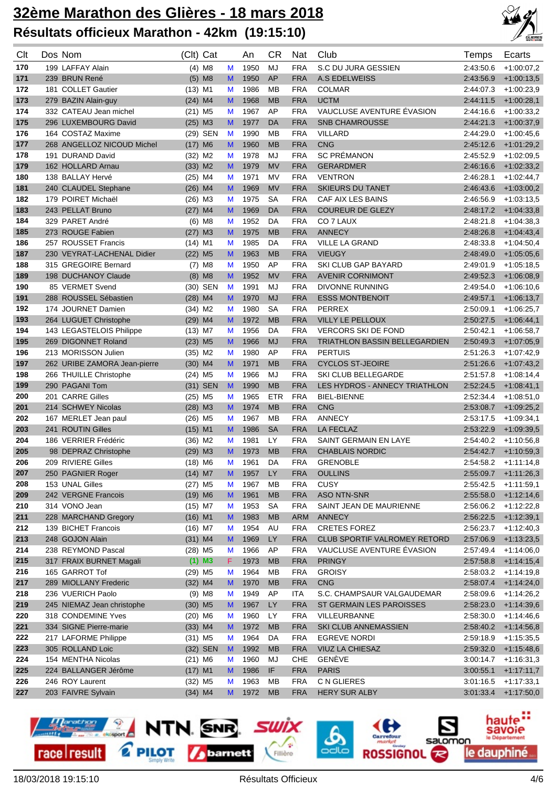

| Clt | Dos Nom                      | (Clt) Cat             |    | An   | <b>CR</b>  | <b>Nat</b> | Club                                 | Temps     | Ecarts       |
|-----|------------------------------|-----------------------|----|------|------------|------------|--------------------------------------|-----------|--------------|
| 170 | 199 LAFFAY Alain             | $(4)$ M <sub>8</sub>  | M  | 1950 | MJ         | <b>FRA</b> | S.C DU JURA GESSIEN                  | 2:43:50.6 | $+1:00:07,2$ |
| 171 | 239 BRUN René                | $(5)$ M8              | M  | 1950 | AP         | <b>FRA</b> | <b>A.S EDELWEISS</b>                 | 2:43:56.9 | $+1:00:13,5$ |
| 172 | 181 COLLET Gautier           | $(13)$ M1             | M  | 1986 | MB         | <b>FRA</b> | <b>COLMAR</b>                        | 2:44:07.3 | $+1:00:23.9$ |
| 173 | 279 BAZIN Alain-guy          | $(24)$ M4             | M  | 1968 | <b>MB</b>  | <b>FRA</b> | <b>UCTM</b>                          | 2:44:11.5 | $+1:00:28,1$ |
| 174 | 332 CATEAU Jean michel       | $(21)$ M5             | M  | 1967 | AP         | <b>FRA</b> | VAUCLUSE AVENTURE ÉVASION            | 2:44:16.6 | $+1:00:33.2$ |
| 175 | 296 LUXEMBOURG David         | $(25)$ M3             | M  | 1977 | DA         | <b>FRA</b> | <b>SNB CHAMROUSSE</b>                | 2:44:21.3 | $+1:00:37,9$ |
| 176 | 164 COSTAZ Maxime            | (29) SEN              | M  | 1990 | <b>MB</b>  | <b>FRA</b> | <b>VILLARD</b>                       | 2:44:29.0 | $+1:00:45,6$ |
| 177 | 268 ANGELLOZ NICOUD Michel   | $(17)$ M6             | M  | 1960 | <b>MB</b>  | <b>FRA</b> | <b>CNG</b>                           | 2:45:12.6 | $+1:01:29.2$ |
| 178 | 191 DURAND David             | $(32)$ M <sub>2</sub> | M  | 1978 | MJ         | <b>FRA</b> | <b>SC PRÉMANON</b>                   | 2:45:52.9 | $+1:02:09,5$ |
| 179 | 162 HOLLARD Arnau            | $(33)$ M2             | M  | 1979 | <b>MV</b>  | <b>FRA</b> | <b>GERARDMER</b>                     | 2:46:16.6 | $+1:02:33,2$ |
| 180 | 138 BALLAY Hervé             | $(25)$ M4             | M  | 1971 | <b>MV</b>  | <b>FRA</b> | <b>VENTRON</b>                       | 2:46:28.1 | $+1:02:44,7$ |
| 181 | 240 CLAUDEL Stephane         | $(26)$ M4             | M  | 1969 | <b>MV</b>  | <b>FRA</b> | <b>SKIEURS DU TANET</b>              | 2:46:43.6 | $+1:03:00,2$ |
| 182 | 179 POIRET Michaël           | $(26)$ M3             | M  | 1975 | <b>SA</b>  | <b>FRA</b> | CAF AIX LES BAINS                    | 2:46:56.9 | $+1:03:13,5$ |
| 183 | 243 PELLAT Bruno             | $(27)$ M4             | M  | 1969 | <b>DA</b>  | <b>FRA</b> | <b>COUREUR DE GLEZY</b>              | 2:48:17.2 | $+1.04.33,8$ |
| 184 | 329 PARET André              | $(6)$ M <sub>8</sub>  | M  | 1952 | DA         | <b>FRA</b> | CO 7 LAUX                            | 2:48:21.8 | $+1:04:38,3$ |
| 185 | 273 ROUGE Fabien             | $(27)$ M3             | M  | 1975 | <b>MB</b>  | <b>FRA</b> | <b>ANNECY</b>                        | 2:48:26.8 | $+1.04.43,4$ |
| 186 | 257 ROUSSET Francis          | $(14)$ M1             | M  | 1985 | DA         | <b>FRA</b> | <b>VILLE LA GRAND</b>                | 2:48:33.8 | $+1:04:50,4$ |
| 187 | 230 VEYRAT-LACHENAL Didier   | $(22)$ M <sub>5</sub> | M  | 1963 | <b>MB</b>  | <b>FRA</b> | <b>VIEUGY</b>                        | 2:48:49.0 | $+1:05:05.6$ |
| 188 | 315 GREGOIRE Bernard         | $(7)$ M <sub>8</sub>  | M  | 1950 | AP         | <b>FRA</b> | SKI CLUB GAP BAYARD                  | 2:49:01.9 | $+1:05:18,5$ |
| 189 | 198 DUCHANOY Claude          | $(8)$ M8              | M  | 1952 | <b>MV</b>  | <b>FRA</b> | <b>AVENIR CORNIMONT</b>              | 2:49:52.3 | $+1:06:08.9$ |
| 190 | 85 VERMET Svend              | (30) SEN              | M  | 1991 | MJ         | <b>FRA</b> | <b>DIVONNE RUNNING</b>               | 2:49:54.0 | $+1:06:10,6$ |
| 191 | 288 ROUSSEL Sébastien        | $(28)$ M4             | M  | 1970 | <b>MJ</b>  | <b>FRA</b> | <b>ESSS MONTBENOIT</b>               | 2:49:57.1 | $+1:06:13,7$ |
| 192 | 174 JOURNET Damien           | $(34)$ M2             | M  | 1980 | <b>SA</b>  | <b>FRA</b> | <b>PERREX</b>                        | 2:50:09.1 | $+1:06:25.7$ |
| 193 | 264 LUGUET Christophe        | $(29)$ M4             | M  | 1972 | <b>MB</b>  | <b>FRA</b> | <b>VILLY LE PELLOUX</b>              | 2:50:27.5 | $+1.06:44,1$ |
| 194 | 143 LEGASTELOIS Philippe     | $(13)$ M7             | M  | 1956 | DA         | <b>FRA</b> | <b>VERCORS SKI DE FOND</b>           | 2:50:42.1 | $+1:06:58.7$ |
| 195 | 269 DIGONNET Roland          | $(23)$ M5             | M  | 1966 | <b>MJ</b>  | <b>FRA</b> | TRIATHLON BASSIN BELLEGARDIEN        | 2:50:49.3 | $+1:07:05,9$ |
| 196 | 213 MORISSON Julien          | $(35)$ M2             | M  | 1980 | AP         | <b>FRA</b> | <b>PERTUIS</b>                       | 2:51:26.3 | $+1.07.42.9$ |
| 197 | 262 URIBE ZAMORA Jean-pierre | $(30)$ M4             | M  | 1971 | <b>MB</b>  | <b>FRA</b> | <b>CYCLOS ST-JEOIRE</b>              | 2:51:26.6 | $+1:07:43,2$ |
| 198 | 266 THUILLE Christophe       | $(24)$ M5             | M  | 1966 | MJ         | <b>FRA</b> | SKI CLUB BELLEGARDE                  | 2:51:57.8 | $+1.08:14.4$ |
| 199 | 290 PAGANI Tom               | (31) SEN              | M  | 1990 | <b>MB</b>  | <b>FRA</b> | <b>LES HYDROS - ANNECY TRIATHLON</b> | 2:52:24.5 | $+1.08:41,1$ |
| 200 | 201 CARRE Gilles             | $(25)$ M5             | M  | 1965 | <b>ETR</b> | <b>FRA</b> | <b>BIEL-BIENNE</b>                   | 2:52:34.4 | $+1.08.51,0$ |
| 201 | 214 SCHWEY Nicolas           | $(28)$ M3             | M  | 1974 | <b>MB</b>  | <b>FRA</b> | <b>CNG</b>                           | 2:53:08.7 | $+1:09:25,2$ |
| 202 | 167 MERLET Jean paul         | $(26)$ M5             | M  | 1967 | <b>MB</b>  | <b>FRA</b> | <b>ANNECY</b>                        | 2:53:17.5 | $+1:09:34,1$ |
| 203 | 241 ROUTIN Gilles            | $(15)$ M1             | M  | 1986 | <b>SA</b>  | <b>FRA</b> | <b>LA FECLAZ</b>                     | 2:53:22.9 | $+1:09:39,5$ |
| 204 | 186 VERRIER Frédéric         | $(36)$ M2             | M  | 1981 | LY         | <b>FRA</b> | SAINT GERMAIN EN LAYE                | 2.54.40.2 | $+1:10:56,8$ |
| 205 | 98 DEPRAZ Christophe         | $(29)$ M3             | M  | 1973 | <b>MB</b>  | <b>FRA</b> | <b>CHABLAIS NORDIC</b>               | 2:54:42.7 | $+1:10:59,3$ |
| 206 | 209 RIVIERE Gilles           | $(18)$ M6             | M  | 1961 | DA         | <b>FRA</b> | <b>GRENOBLE</b>                      | 2:54:58.2 | $+1:11:14.8$ |
| 207 | 250 PAGNIER Roger            | $(14)$ M7             | M  | 1957 | LY         | <b>FRA</b> | <b>OULLINS</b>                       | 2:55:09.7 | $+1:11:26,3$ |
| 208 | 153 UNAL Gilles              | $(27)$ M5             | M  | 1967 | МB         | <b>FRA</b> | CUSY                                 | 2:55:42.5 | $+1:11:59,1$ |
| 209 | 242 VERGNE Francois          | $(19)$ M6             | M  | 1961 | <b>MB</b>  | <b>FRA</b> | <b>ASO NTN-SNR</b>                   | 2:55:58.0 | $+1:12:14,6$ |
| 210 | 314 VONO Jean                | $(15)$ M7             | M  | 1953 | <b>SA</b>  | <b>FRA</b> | SAINT JEAN DE MAURIENNE              | 2:56:06.2 | $+1:12:22,8$ |
| 211 | 228 MARCHAND Gregory         | $(16)$ M1             | M  | 1983 | <b>MB</b>  | <b>ARM</b> | ANNECY                               | 2:56:22.5 | $+1:12:39,1$ |
| 212 | 139 BICHET Francois          | $(16)$ M7             | M  | 1954 | AU         | <b>FRA</b> | <b>CRETES FOREZ</b>                  | 2:56:23.7 | $+1:12:40,3$ |
| 213 | 248 GOJON Alain              | $(31)$ M4             | M  | 1969 | LY         | <b>FRA</b> | CLUB SPORTIF VALROMEY RETORD         | 2:57:06.9 | $+1:13:23,5$ |
| 214 | 238 REYMOND Pascal           | $(28)$ M5             | M  | 1966 | AP         | <b>FRA</b> | VAUCLUSE AVENTURE ÉVASION            | 2:57:49.4 | $+1:14:06.0$ |
| 215 | 317 FRAIX BURNET Magali      | $(1)$ M3              | F. | 1973 | <b>MB</b>  | <b>FRA</b> | <b>PRINGY</b>                        | 2:57:58.8 | $+1:14:15,4$ |
| 216 | 165 GARROT Tof               | $(29)$ M5             | M  | 1964 | MB         | <b>FRA</b> | <b>GROISY</b>                        | 2:58:03.2 | $+1:14:19,8$ |
| 217 | 289 MIOLLANY Frederic        | $(32)$ M4             | M  | 1970 | <b>MB</b>  | <b>FRA</b> | <b>CNG</b>                           | 2:58:07.4 | $+1:14:24,0$ |
| 218 | 236 VUERICH Paolo            | $(9)$ M <sub>8</sub>  | M  | 1949 | AP         | <b>ITA</b> | S.C. CHAMPSAUR VALGAUDEMAR           | 2:58:09.6 | $+1:14:26,2$ |
| 219 | 245 NIEMAZ Jean christophe   | $(30)$ M5             | M  | 1967 | LY         | <b>FRA</b> | ST GERMAIN LES PAROISSES             | 2:58:23.0 | $+1:14:39,6$ |
| 220 | 318 CONDEMINE Yves           | $(20)$ M6             | M  | 1960 | LY.        | <b>FRA</b> | <b>VILLEURBANNE</b>                  | 2:58:30.0 | $+1:14:46,6$ |
| 221 | 334 SIGNE Pierre-marie       | $(33)$ M4             | M  | 1972 | <b>MB</b>  | <b>FRA</b> | SKI CLUB ANNEMASSIEN                 | 2:58:40.2 | $+1:14:56,8$ |
| 222 | 217 LAFORME Philippe         | $(31)$ M5             | M  | 1964 | DA         | <b>FRA</b> | <b>EGREVE NORDI</b>                  | 2:59:18.9 | $+1:15:35,5$ |
| 223 | 305 ROLLAND Loic             | (32) SEN              | M  | 1992 | <b>MB</b>  | <b>FRA</b> | VIUZ LA CHIESAZ                      | 2:59:32.0 | $+1:15:48,6$ |
| 224 | 154 MENTHA Nicolas           | $(21)$ M6             | M  | 1960 | MJ         | CHE        | GENÈVE                               | 3:00:14.7 | $+1:16:31,3$ |
| 225 | 224 BALLANGER Jérôme         | $(17)$ M1             | M  | 1986 | IF         | <b>FRA</b> | <b>PARIS</b>                         | 3:00:55.1 | $+1:17:11,7$ |
| 226 | 246 ROY Laurent              | $(32)$ M5             | M  | 1963 | MВ         | <b>FRA</b> | C N GLIERES                          | 3:01:16.5 | $+1:17:33,1$ |
| 227 | 203 FAIVRE Sylvain           | $(34)$ M4             | M  | 1972 | <b>MB</b>  | <b>FRA</b> | <b>HERY SUR ALBY</b>                 | 3:01:33.4 | $+1:17:50,0$ |

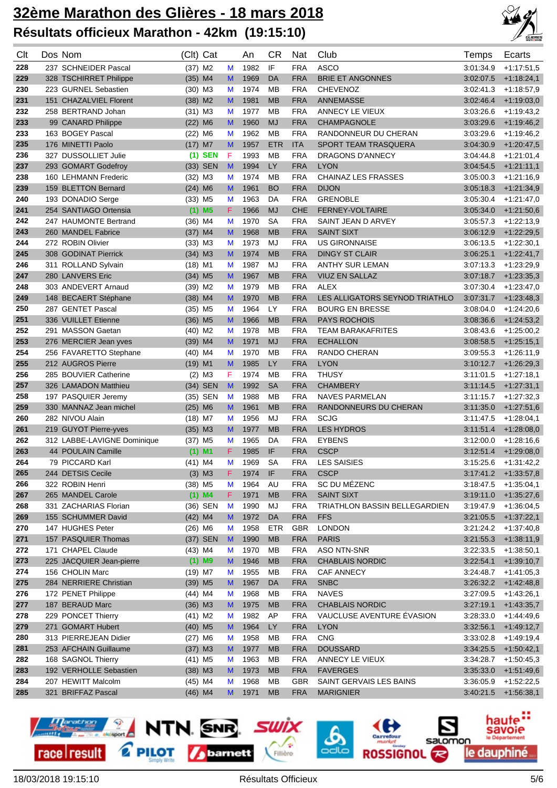

| Clt | Dos Nom                     | (Clt) Cat             |    |    | An   | СR         | Nat        | Club                                 | Temps     | Ecarts       |
|-----|-----------------------------|-----------------------|----|----|------|------------|------------|--------------------------------------|-----------|--------------|
| 228 | 237 SCHNEIDER Pascal        | $(37)$ M2             |    | M  | 1982 | IF         | <b>FRA</b> | <b>ASCO</b>                          | 3:01:34.9 | $+1.17:51.5$ |
| 229 | 328 TSCHIRRET Philippe      | $(35)$ M4             |    | M  | 1969 | <b>DA</b>  | <b>FRA</b> | <b>BRIE ET ANGONNES</b>              | 3:02:07.5 | $+1:18:24,1$ |
| 230 | 223 GURNEL Sebastien        | $(30)$ M3             |    | M  | 1974 | <b>MB</b>  | <b>FRA</b> | <b>CHEVENOZ</b>                      | 3:02:41.3 | $+1:18:57,9$ |
| 231 | 151 CHAZALVIEL Florent      | $(38)$ M2             |    | M  | 1981 | <b>MB</b>  | <b>FRA</b> | <b>ANNEMASSE</b>                     | 3:02:46.4 | $+1:19:03,0$ |
| 232 | 258 BERTRAND Johan          | $(31)$ M3             |    | M  | 1977 | <b>MB</b>  | <b>FRA</b> | ANNECY LE VIEUX                      | 3:03:26.6 | $+1.19.43.2$ |
| 233 | 99 CANARD Philippe          | $(22)$ M6             |    | M  | 1960 | <b>MJ</b>  | <b>FRA</b> | <b>CHAMPAGNOLE</b>                   | 3:03:29.6 | $+1:19:46,2$ |
| 233 | 163 BOGEY Pascal            | $(22)$ M6             |    | M  | 1962 | <b>MB</b>  | <b>FRA</b> | RANDONNEUR DU CHERAN                 | 3:03:29.6 | $+1:19:46,2$ |
| 235 | 176 MINETTI Paolo           | $(17)$ M7             |    | M  | 1957 | <b>ETR</b> | <b>ITA</b> | <b>SPORT TEAM TRASQUERA</b>          | 3:04:30.9 | $+1:20:47,5$ |
| 236 | 327 DUSSOLLIET Julie        | $(1)$ SEN             |    | F  | 1993 | <b>MB</b>  | <b>FRA</b> | DRAGONS D'ANNECY                     | 3:04:44.8 | $+1:21:01,4$ |
| 237 | 293 GOMART Godefroy         | (33) SEN              |    | M  | 1994 | <b>LY</b>  | <b>FRA</b> | <b>LYON</b>                          | 3:04:54.5 | $+1:21:11.1$ |
| 238 | 160 LEHMANN Frederic        | $(32)$ M3             |    | M  | 1974 | <b>MB</b>  | <b>FRA</b> | <b>CHAINAZ LES FRASSES</b>           | 3.05.00.3 | $+1.21:16.9$ |
| 239 | 159 BLETTON Bernard         | $(24)$ M6             |    | M  | 1961 | <b>BO</b>  | <b>FRA</b> | <b>DIJON</b>                         | 3:05:18.3 | $+1:21:34,9$ |
| 240 | 193 DONADIO Serge           | $(33)$ M5             |    | M  | 1963 | DA         | <b>FRA</b> | <b>GRENOBLE</b>                      | 3:05:30.4 | $+1:21:47,0$ |
| 241 | 254 SANTIAGO Ortensia       | $(1)$ M5              |    | F  | 1966 | <b>MJ</b>  | <b>CHE</b> | FERNEY-VOLTAIRE                      | 3:05:34.0 | $+1:21:50,6$ |
| 242 | 247 HAUMONTE Bertrand       | $(36)$ M4             |    | M  | 1970 | <b>SA</b>  | <b>FRA</b> | SAINT JEAN D ARVEY                   | 3:05:57.3 | $+1:22:13,9$ |
| 243 | 260 MANDEL Fabrice          | $(37)$ M4             |    | M  | 1968 | <b>MB</b>  | <b>FRA</b> | <b>SAINT SIXT</b>                    | 3:06:12.9 | $+1:22:29,5$ |
| 244 | 272 ROBIN Olivier           | (33) M3               |    | M  | 1973 | MJ         | <b>FRA</b> | <b>US GIRONNAISE</b>                 | 3:06:13.5 | $+1:22:30,1$ |
| 245 | 308 GODINAT Pierrick        | $(34)$ M3             |    | M  | 1974 | <b>MB</b>  | <b>FRA</b> | <b>DINGY ST CLAIR</b>                | 3:06:25.1 | $+1:22:41,7$ |
| 246 | 311 ROLLAND Sylvain         | $(18)$ M1             |    | M  | 1987 | MJ         | <b>FRA</b> | <b>ANTHY SUR LEMAN</b>               | 3:07:13.3 | $+1:23:29,9$ |
| 247 | 280 LANVERS Eric            | $(34)$ M <sub>5</sub> |    | M  | 1967 | <b>MB</b>  | <b>FRA</b> | <b>VIUZ EN SALLAZ</b>                | 3:07:18.7 | $+1:23:35.3$ |
| 248 | 303 ANDEVERT Arnaud         | (39) M2               |    | M  | 1979 | MB         | <b>FRA</b> | ALEX                                 | 3:07:30.4 | $+1:23:47,0$ |
| 249 | 148 BECAERT Stéphane        | $(38)$ M4             |    | M  | 1970 | <b>MB</b>  | <b>FRA</b> | LES ALLIGATORS SEYNOD TRIATHLO       | 3:07:31.7 | $+1:23:48,3$ |
| 250 | 287 GENTET Pascal           | $(35)$ M5             |    | M  | 1964 | LY         | <b>FRA</b> | <b>BOURG EN BRESSE</b>               | 3:08:04.0 | $+1:24:20,6$ |
| 251 | 336 VUILLET Etienne         | $(36)$ M5             |    | M  | 1966 | <b>MB</b>  | <b>FRA</b> | <b>PAYS ROCHOIS</b>                  | 3:08:36.6 | $+1:24:53,2$ |
| 252 | 291 MASSON Gaetan           | $(40)$ M2             |    | M  | 1978 | <b>MB</b>  | <b>FRA</b> | <b>TEAM BARAKAFRITES</b>             | 3:08:43.6 | $+1:25:00,2$ |
| 253 | 276 MERCIER Jean yves       | $(39)$ M4             |    | M  | 1971 | <b>MJ</b>  | <b>FRA</b> | <b>ECHALLON</b>                      | 3:08:58.5 | $+1:25:15,1$ |
| 254 | 256 FAVARETTO Stephane      | $(40)$ M4             |    | M  | 1970 | <b>MB</b>  | <b>FRA</b> | RANDO CHERAN                         | 3.09.55.3 | $+1:26:11,9$ |
| 255 | 212 AUGROS Pierre           | $(19)$ M1             |    | M  | 1985 | <b>LY</b>  | <b>FRA</b> | <b>LYON</b>                          | 3:10:12.7 | $+1:26:29,3$ |
| 256 | 285 BOUVIER Catherine       | $(2)$ M3              |    | F  | 1974 | <b>MB</b>  | <b>FRA</b> | <b>THUSY</b>                         | 3:11:01.5 | $+1:27:18,1$ |
| 257 | 326 LAMADON Matthieu        | (34) SEN              |    | M  | 1992 | <b>SA</b>  | <b>FRA</b> | <b>CHAMBERY</b>                      | 3:11:14.5 | $+1:27:31,1$ |
| 258 | 197 PASQUIER Jeremy         | (35) SEN              |    | M  | 1988 | <b>MB</b>  | <b>FRA</b> | <b>NAVES PARMELAN</b>                | 3:11:15.7 | $+1:27:32,3$ |
| 259 | 330 MANNAZ Jean michel      | $(25)$ M6             |    | M  | 1961 | <b>MB</b>  | <b>FRA</b> | RANDONNEURS DU CHERAN                | 3:11:35.0 | $+1:27:51,6$ |
| 260 | 282 NIVOU Alain             | $(18)$ M7             |    | M  | 1956 | <b>MJ</b>  | <b>FRA</b> | <b>SCJG</b>                          | 3:11:47.5 | $+1.28.04.1$ |
| 261 | 219 GUYOT Pierre-yves       | $(35)$ M3             |    | M  | 1977 | <b>MB</b>  | <b>FRA</b> | <b>LES HYDROS</b>                    | 3:11:51.4 | $+1:28:08.0$ |
| 262 | 312 LABBE-LAVIGNE Dominique | (37) M5               |    | M  | 1965 | DA         | <b>FRA</b> | <b>EYBENS</b>                        | 3:12:00.0 | $+1:28:16,6$ |
| 263 | 44 POULAIN Camille          | (1)                   | M1 | F  | 1985 | IF         | <b>FRA</b> | <b>CSCP</b>                          | 3:12:51.4 | $+1:29:08,0$ |
| 264 | 79 PICCARD Karl             | $(41)$ M4             |    | M  | 1969 | <b>SA</b>  | <b>FRA</b> | <b>LES SAISIES</b>                   | 3:15:25.6 | $+1.31.42.2$ |
| 265 | 244 DETSIS Cecile           | $(3)$ M3              |    | F  | 1974 | IF         | <b>FRA</b> | <b>CSCP</b>                          | 3:17:41.2 | $+1:33:57,8$ |
| 266 | 322 ROBIN Henri             | $(38)$ M5             |    | M  | 1964 | AU         | <b>FRA</b> | SC DU MÉZENC                         | 3:18:47.5 | $+1:35:04,1$ |
| 267 | 265 MANDEL Carole           | $(1)$ M4              |    | F. | 1971 | <b>MB</b>  | <b>FRA</b> | <b>SAINT SIXT</b>                    | 3:19:11.0 | $+1:35:27,6$ |
| 268 | 331 ZACHARIAS Florian       | (36) SEN              |    | M  | 1990 | MJ         | <b>FRA</b> | <b>TRIATHLON BASSIN BELLEGARDIEN</b> | 3:19:47.9 | $+1:36:04,5$ |
| 269 | 155 SCHUMMER David          | $(42)$ M4             |    | M  | 1972 | DA         | <b>FRA</b> | <b>FFS</b>                           | 3:21:05.5 | $+1:37:22,1$ |
| 270 | 147 HUGHES Peter            | $(26)$ M6             |    | M  | 1958 | ETR        | <b>GBR</b> | <b>LONDON</b>                        | 3:21:24.2 | $+1:37:40,8$ |
| 271 | 157 PASQUIER Thomas         | (37) SEN              |    | M  | 1990 | <b>MB</b>  | <b>FRA</b> | <b>PARIS</b>                         | 3:21:55.3 | $+1:38:11,9$ |
| 272 | 171 CHAPEL Claude           | (43) M4               |    | M  | 1970 | MB         | <b>FRA</b> | ASO NTN-SNR                          | 3:22:33.5 | $+1.38.50.1$ |
| 273 | 225 JACQUIER Jean-pierre    | $(1)$ M9              |    | M  | 1946 | <b>MB</b>  | <b>FRA</b> | <b>CHABLAIS NORDIC</b>               | 3:22:54.1 | $+1:39:10,7$ |
| 274 | 156 CHOLIN Marc             | $(19)$ M7             |    | M  | 1955 | MB         | <b>FRA</b> | <b>CAF ANNECY</b>                    | 3:24:48.7 | $+1:41:05,3$ |
| 275 | 284 NERRIERE Christian      | $(39)$ M5             |    | M  | 1967 | DA         | <b>FRA</b> | <b>SNBC</b>                          | 3:26:32.2 | $+1:42:48,8$ |
| 276 | 172 PENET Philippe          | $(44)$ M4             |    | M  | 1968 | MB         | <b>FRA</b> | <b>NAVES</b>                         | 3:27:09.5 | $+1.43:26,1$ |
| 277 | 187 BERAUD Marc             | $(36)$ M3             |    | M  | 1975 | <b>MB</b>  | <b>FRA</b> | <b>CHABLAIS NORDIC</b>               | 3:27:19.1 | $+1:43:35,7$ |
| 278 | 229 PONCET Thierry          | $(41)$ M2             |    | M  | 1982 | AP         | <b>FRA</b> | VAUCLUSE AVENTURE ÉVASION            | 3:28:33.0 | $+1.44:49,6$ |
| 279 | 271 GOMART Hubert           | $(40)$ M5             |    | M  | 1964 | LY         | <b>FRA</b> | <b>LYON</b>                          | 3:32:56.1 | $+1:49:12,7$ |
| 280 | 313 PIERREJEAN Didier       | $(27)$ M6             |    | M  | 1958 | МB         | <b>FRA</b> | <b>CNG</b>                           | 3:33:02.8 | $+1.49:19,4$ |
| 281 | 253 AFCHAIN Guillaume       | $(37)$ M3             |    | M  | 1977 | <b>MB</b>  | <b>FRA</b> | <b>DOUSSARD</b>                      | 3:34:25.5 | $+1:50:42,1$ |
| 282 | 168 SAGNOL Thierry          | $(41)$ M5             |    | M  | 1963 | МB         | <b>FRA</b> | ANNECY LE VIEUX                      | 3:34:28.7 | $+1:50:45,3$ |
| 283 | 192 VERHOLLE Sebastien      | $(38)$ M3             |    | M  | 1973 | <b>MB</b>  | <b>FRA</b> | <b>FAVERGES</b>                      | 3:35:33.0 | $+1:51:49,6$ |
| 284 | 207 HEWITT Malcolm          | $(45)$ M4             |    | M  | 1968 | МB         | <b>GBR</b> | SAINT GERVAIS LES BAINS              | 3:36:05.9 | $+1:52:22.5$ |
| 285 | 321 BRIFFAZ Pascal          | $(46)$ M4             |    | M  | 1971 | <b>MB</b>  | <b>FRA</b> | <b>MARIGNIER</b>                     | 3:40:21.5 | $+1.56.38,1$ |